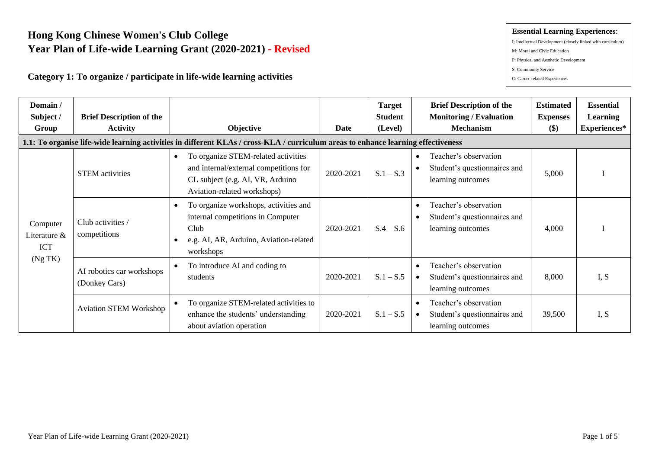# **Hong Kong Chinese Women's Club College Year Plan of Life-wide Learning Grant (2020-2021) - Revised**

### **Category 1: To organize / participate in life-wide learning activities**

#### **Essential Learning Experiences**:

- I: Intellectual Development (closely linked with curriculum)
- M: Moral and Civic Education
- P: Physical and Aesthetic Development
- S: Community Service
- C: Career-related Experiences

| Domain/<br>Subject /<br>Group          | <b>Brief Description of the</b><br><b>Activity</b> | Objective                                                                                                                                                     | Date      | <b>Target</b><br><b>Student</b><br>(Level) | <b>Brief Description of the</b><br><b>Monitoring / Evaluation</b><br><b>Mechanism</b>   | <b>Estimated</b><br><b>Expenses</b><br>\$) | <b>Essential</b><br><b>Learning</b><br>Experiences* |
|----------------------------------------|----------------------------------------------------|---------------------------------------------------------------------------------------------------------------------------------------------------------------|-----------|--------------------------------------------|-----------------------------------------------------------------------------------------|--------------------------------------------|-----------------------------------------------------|
|                                        |                                                    | 1.1: To organise life-wide learning activities in different KLAs / cross-KLA / curriculum areas to enhance learning effectiveness                             |           |                                            |                                                                                         |                                            |                                                     |
|                                        | <b>STEM</b> activities                             | To organize STEM-related activities<br>$\bullet$<br>and internal/external competitions for<br>CL subject (e.g. AI, VR, Arduino<br>Aviation-related workshops) | 2020-2021 | $S.1 - S.3$                                | Teacher's observation<br>Student's questionnaires and<br>learning outcomes              | 5,000                                      |                                                     |
| Computer<br>Literature &<br><b>ICT</b> | Club activities /<br>competitions                  | To organize workshops, activities and<br>internal competitions in Computer<br>Club<br>e.g. AI, AR, Arduino, Aviation-related<br>workshops                     | 2020-2021 | $S.4 - S.6$                                | Teacher's observation<br>Student's questionnaires and<br>learning outcomes              | 4,000                                      |                                                     |
| (Ng TK)                                | AI robotics car workshops<br>(Donkey Cars)         | To introduce AI and coding to<br>students                                                                                                                     | 2020-2021 | $S.1 - S.5$                                | Teacher's observation<br>Student's questionnaires and<br>learning outcomes              | 8,000                                      | I.S                                                 |
|                                        | <b>Aviation STEM Workshop</b>                      | To organize STEM-related activities to<br>enhance the students' understanding<br>about aviation operation                                                     | 2020-2021 | $S.1 - S.5$                                | Teacher's observation<br>$\bullet$<br>Student's questionnaires and<br>learning outcomes | 39,500                                     | I, S                                                |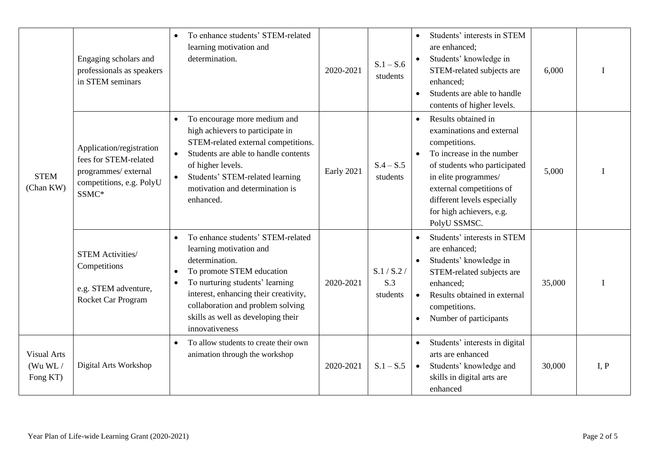|                                           | Engaging scholars and<br>professionals as speakers<br>in STEM seminars                                        | To enhance students' STEM-related<br>learning motivation and<br>determination.                                                                                                                                                                                                                    | 2020-2021  | $S.1 - S.6$<br>students        | Students' interests in STEM<br>$\bullet$<br>are enhanced;<br>Students' knowledge in<br>STEM-related subjects are<br>enhanced;<br>Students are able to handle<br>$\bullet$<br>contents of higher levels.                                                                    | 6,000  |      |
|-------------------------------------------|---------------------------------------------------------------------------------------------------------------|---------------------------------------------------------------------------------------------------------------------------------------------------------------------------------------------------------------------------------------------------------------------------------------------------|------------|--------------------------------|----------------------------------------------------------------------------------------------------------------------------------------------------------------------------------------------------------------------------------------------------------------------------|--------|------|
| <b>STEM</b><br>(Chan KW)                  | Application/registration<br>fees for STEM-related<br>programmes/external<br>competitions, e.g. PolyU<br>SSMC* | To encourage more medium and<br>$\bullet$<br>high achievers to participate in<br>STEM-related external competitions.<br>Students are able to handle contents<br>$\bullet$<br>of higher levels.<br>Students' STEM-related learning<br>$\bullet$<br>motivation and determination is<br>enhanced.    | Early 2021 | $S.4 - S.5$<br>students        | Results obtained in<br>$\bullet$<br>examinations and external<br>competitions.<br>To increase in the number<br>of students who participated<br>in elite programmes/<br>external competitions of<br>different levels especially<br>for high achievers, e.g.<br>PolyU SSMSC. | 5,000  |      |
|                                           | <b>STEM Activities/</b><br>Competitions<br>e.g. STEM adventure,<br>Rocket Car Program                         | To enhance students' STEM-related<br>$\bullet$<br>learning motivation and<br>determination.<br>To promote STEM education<br>To nurturing students' learning<br>interest, enhancing their creativity,<br>collaboration and problem solving<br>skills as well as developing their<br>innovativeness | 2020-2021  | S.1 / S.2 /<br>S.3<br>students | Students' interests in STEM<br>are enhanced;<br>Students' knowledge in<br>$\bullet$<br>STEM-related subjects are<br>enhanced;<br>Results obtained in external<br>$\bullet$<br>competitions.<br>Number of participants<br>$\bullet$                                         | 35,000 |      |
| <b>Visual Arts</b><br>(Wu WL/<br>Fong KT) | Digital Arts Workshop                                                                                         | To allow students to create their own<br>animation through the workshop                                                                                                                                                                                                                           | 2020-2021  | $S.1 - S.5$                    | Students' interests in digital<br>$\bullet$<br>arts are enhanced<br>Students' knowledge and<br>$\bullet$<br>skills in digital arts are<br>enhanced                                                                                                                         | 30,000 | I, P |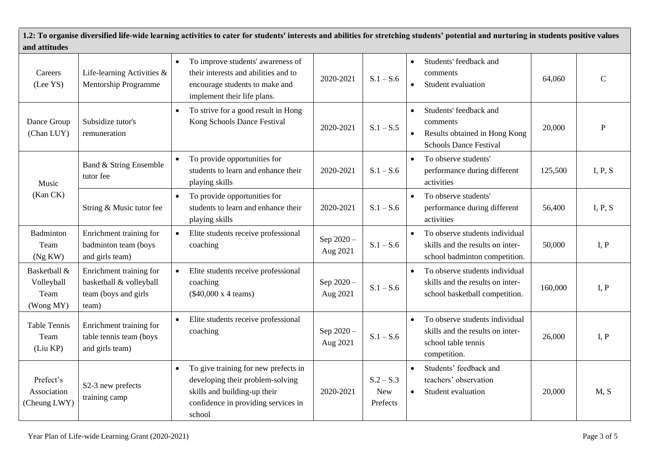| and attitudes                                   |                                                                                     |           | 1.2: To organise diversified life-wide learning activities to cater for students' interests and abilities for stretching students' potential and nurturing in students positive values |                        |                                       |                        |                                                                                                           |         |              |
|-------------------------------------------------|-------------------------------------------------------------------------------------|-----------|----------------------------------------------------------------------------------------------------------------------------------------------------------------------------------------|------------------------|---------------------------------------|------------------------|-----------------------------------------------------------------------------------------------------------|---------|--------------|
| Careers<br>(Lee YS)                             | Life-learning Activities &<br>Mentorship Programme                                  | $\bullet$ | To improve students' awareness of<br>their interests and abilities and to<br>encourage students to make and<br>implement their life plans.                                             | 2020-2021              | $S.1 - S.6$                           | $\bullet$              | Students' feedback and<br>comments<br>Student evaluation                                                  | 64,060  | $\mathsf{C}$ |
| Dance Group<br>(Chan LUY)                       | Subsidize tutor's<br>remuneration                                                   | $\bullet$ | To strive for a good result in Hong<br>Kong Schools Dance Festival                                                                                                                     | 2020-2021              | $S.1 - S.5$                           | $\bullet$              | Students' feedback and<br>comments<br>Results obtained in Hong Kong<br><b>Schools Dance Festival</b>      | 20,000  | ${\bf P}$    |
| Music                                           | Band & String Ensemble<br>tutor fee                                                 |           | To provide opportunities for<br>students to learn and enhance their<br>playing skills                                                                                                  | 2020-2021              | $S.1 - S.6$                           | $\bullet$              | To observe students'<br>performance during different<br>activities                                        | 125,500 | I, P, S      |
| (Kan CK)                                        | String & Music tutor fee                                                            |           | To provide opportunities for<br>students to learn and enhance their<br>playing skills                                                                                                  | 2020-2021              | $S.1 - S.6$                           | $\bullet$              | To observe students'<br>performance during different<br>activities                                        | 56,400  | I, P, S      |
| Badminton<br>Team<br>(Ng KW)                    | Enrichment training for<br>badminton team (boys<br>and girls team)                  |           | Elite students receive professional<br>coaching                                                                                                                                        | Sep 2020 -<br>Aug 2021 | $S.1 - S.6$                           | $\bullet$              | To observe students individual<br>skills and the results on inter-<br>school badminton competition.       | 50,000  | I, P         |
| Basketball &<br>Volleyball<br>Team<br>(Wong MY) | Enrichment training for<br>basketball & volleyball<br>team (boys and girls<br>team) |           | Elite students receive professional<br>coaching<br>$(\$40,000 \times 4$ teams)                                                                                                         | Sep 2020 -<br>Aug 2021 | $S.1 - S.6$                           | $\bullet$              | To observe students individual<br>skills and the results on inter-<br>school basketball competition.      | 160,000 | I, P         |
| <b>Table Tennis</b><br>Team<br>(Liu KP)         | Enrichment training for<br>table tennis team (boys<br>and girls team)               | $\bullet$ | Elite students receive professional<br>coaching                                                                                                                                        | Sep 2020 -<br>Aug 2021 | $S.1 - S.6$                           | $\bullet$              | To observe students individual<br>skills and the results on inter-<br>school table tennis<br>competition. | 26,000  | I, P         |
| Prefect's<br>Association<br>(Cheung LWY)        | S2-3 new prefects<br>training camp                                                  | $\bullet$ | To give training for new prefects in<br>developing their problem-solving<br>skills and building-up their<br>confidence in providing services in<br>school                              | 2020-2021              | $S.2 - S.3$<br><b>New</b><br>Prefects | $\bullet$<br>$\bullet$ | Students' feedback and<br>teachers' observation<br>Student evaluation                                     | 20,000  | M, S         |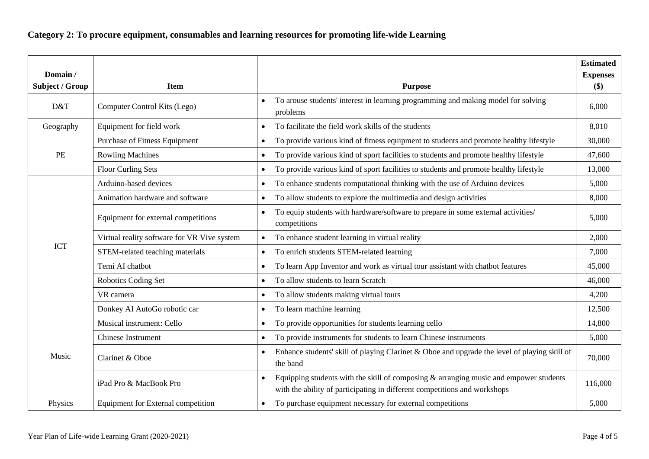# **Category 2: To procure equipment, consumables and learning resources for promoting life-wide Learning**

| Domain /<br>Subject / Group | <b>Item</b>                                 | <b>Purpose</b>                                                                                                                                                                     | <b>Estimated</b><br><b>Expenses</b><br>\$) |
|-----------------------------|---------------------------------------------|------------------------------------------------------------------------------------------------------------------------------------------------------------------------------------|--------------------------------------------|
| D&T                         | Computer Control Kits (Lego)                | To arouse students' interest in learning programming and making model for solving<br>problems                                                                                      | 6,000                                      |
| Geography                   | Equipment for field work                    | To facilitate the field work skills of the students                                                                                                                                | 8,010                                      |
|                             | <b>Purchase of Fitness Equipment</b>        | To provide various kind of fitness equipment to students and promote healthy lifestyle                                                                                             | 30,000                                     |
| PE                          | <b>Rowling Machines</b>                     | To provide various kind of sport facilities to students and promote healthy lifestyle                                                                                              | 47,600                                     |
|                             | <b>Floor Curling Sets</b>                   | To provide various kind of sport facilities to students and promote healthy lifestyle                                                                                              | 13,000                                     |
|                             | Arduino-based devices                       | To enhance students computational thinking with the use of Arduino devices                                                                                                         | 5,000                                      |
|                             | Animation hardware and software             | To allow students to explore the multimedia and design activities                                                                                                                  | 8,000                                      |
|                             | Equipment for external competitions         | To equip students with hardware/software to prepare in some external activities/<br>competitions                                                                                   | 5,000                                      |
|                             | Virtual reality software for VR Vive system | To enhance student learning in virtual reality<br>$\bullet$                                                                                                                        | 2,000                                      |
| <b>ICT</b>                  | STEM-related teaching materials             | To enrich students STEM-related learning<br>$\bullet$                                                                                                                              | 7,000                                      |
|                             | Temi AI chatbot                             | To learn App Inventor and work as virtual tour assistant with chatbot features<br>$\bullet$                                                                                        | 45,000                                     |
|                             | Robotics Coding Set                         | To allow students to learn Scratch<br>$\bullet$                                                                                                                                    | 46,000                                     |
|                             | VR camera                                   | To allow students making virtual tours<br>$\bullet$                                                                                                                                | 4,200                                      |
|                             | Donkey AI AutoGo robotic car                | To learn machine learning<br>$\bullet$                                                                                                                                             | 12,500                                     |
|                             | Musical instrument: Cello                   | To provide opportunities for students learning cello<br>$\bullet$                                                                                                                  | 14,800                                     |
|                             | <b>Chinese Instrument</b>                   | To provide instruments for students to learn Chinese instruments<br>$\bullet$                                                                                                      | 5,000                                      |
| Music                       | Clarinet & Oboe                             | Enhance students' skill of playing Clarinet & Oboe and upgrade the level of playing skill of<br>$\bullet$<br>the band                                                              | 70,000                                     |
|                             | iPad Pro & MacBook Pro                      | Equipping students with the skill of composing $\&$ arranging music and empower students<br>$\bullet$<br>with the ability of participating in different competitions and workshops | 116,000                                    |
| Physics                     | Equipment for External competition          | To purchase equipment necessary for external competitions                                                                                                                          | 5,000                                      |